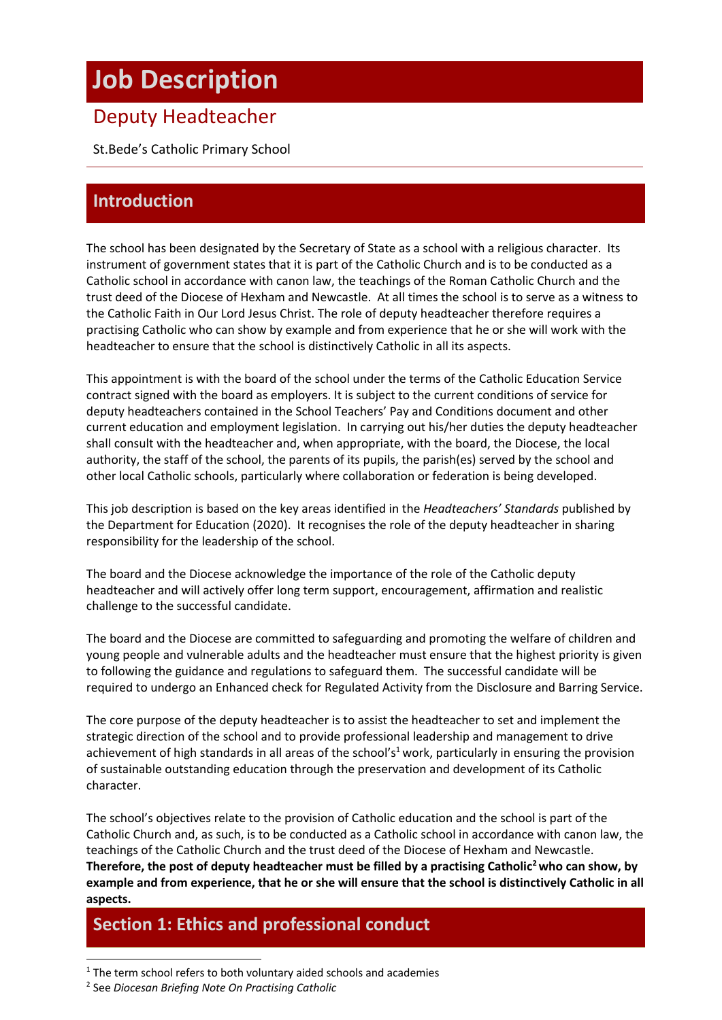# **Job Description**

# Deputy Headteacher

St.Bede's Catholic Primary School

# **Introduction**

The school has been designated by the Secretary of State as a school with a religious character. Its instrument of government states that it is part of the Catholic Church and is to be conducted as a Catholic school in accordance with canon law, the teachings of the Roman Catholic Church and the trust deed of the Diocese of Hexham and Newcastle. At all times the school is to serve as a witness to the Catholic Faith in Our Lord Jesus Christ. The role of deputy headteacher therefore requires a practising Catholic who can show by example and from experience that he or she will work with the headteacher to ensure that the school is distinctively Catholic in all its aspects.

This appointment is with the board of the school under the terms of the Catholic Education Service contract signed with the board as employers. It is subject to the current conditions of service for deputy headteachers contained in the School Teachers' Pay and Conditions document and other current education and employment legislation. In carrying out his/her duties the deputy headteacher shall consult with the headteacher and, when appropriate, with the board, the Diocese, the local authority, the staff of the school, the parents of its pupils, the parish(es) served by the school and other local Catholic schools, particularly where collaboration or federation is being developed.

This job description is based on the key areas identified in the *Headteachers' Standards* published by the Department for Education (2020). It recognises the role of the deputy headteacher in sharing responsibility for the leadership of the school.

The board and the Diocese acknowledge the importance of the role of the Catholic deputy headteacher and will actively offer long term support, encouragement, affirmation and realistic challenge to the successful candidate.

The board and the Diocese are committed to safeguarding and promoting the welfare of children and young people and vulnerable adults and the headteacher must ensure that the highest priority is given to following the guidance and regulations to safeguard them. The successful candidate will be required to undergo an Enhanced check for Regulated Activity from the Disclosure and Barring Service.

The core purpose of the deputy headteacher is to assist the headteacher to set and implement the strategic direction of the school and to provide professional leadership and management to drive achievement of high standards in all areas of the school's<sup>1</sup> work, particularly in ensuring the provision of sustainable outstanding education through the preservation and development of its Catholic character.

The school's objectives relate to the provision of Catholic education and the school is part of the Catholic Church and, as such, is to be conducted as a Catholic school in accordance with canon law, the teachings of the Catholic Church and the trust deed of the Diocese of Hexham and Newcastle. **Therefore, the post of deputy headteacher must be filled by a practising Catholic2who can show, by example and from experience, that he or she will ensure that the school is distinctively Catholic in all aspects.**

# **Section 1: Ethics and professional conduct**

 $1$  The term school refers to both voluntary aided schools and academies

<sup>2</sup> See *Diocesan Briefing Note On Practising Catholic*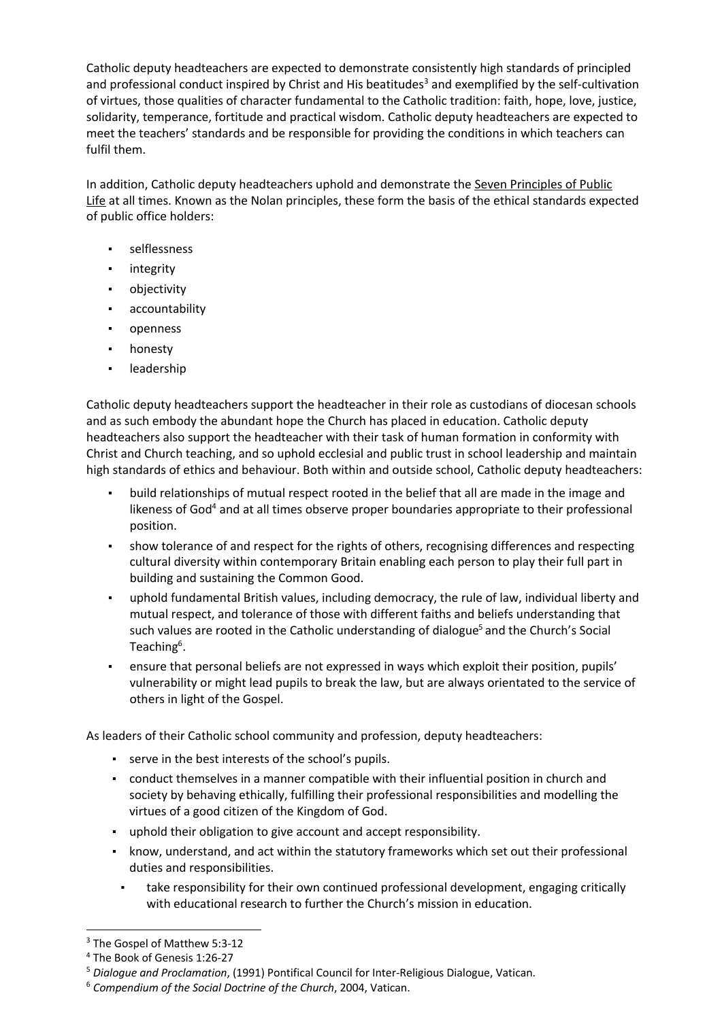Catholic deputy headteachers are expected to demonstrate consistently high standards of principled and professional conduct inspired by Christ and His beatitudes<sup>3</sup> and exemplified by the self-cultivation of virtues, those qualities of character fundamental to the Catholic tradition: faith, hope, love, justice, solidarity, temperance, fortitude and practical wisdom. Catholic deputy headteachers are expected to meet the teachers' standards and be responsible for providing the conditions in which teachers can fulfil them.

In addition, Catholic deputy headteachers uphold and demonstrate the Seven Principles of Public Life at all times. Known as the Nolan principles, these form the basis of the ethical standards expected of public office holders:

- selflessness
- integrity
- objectivity
- accountability
- openness
- honesty
- leadership

Catholic deputy headteachers support the headteacher in their role as custodians of diocesan schools and as such embody the abundant hope the Church has placed in education. Catholic deputy headteachers also support the headteacher with their task of human formation in conformity with Christ and Church teaching, and so uphold ecclesial and public trust in school leadership and maintain high standards of ethics and behaviour. Both within and outside school, Catholic deputy headteachers:

- build relationships of mutual respect rooted in the belief that all are made in the image and likeness of God<sup>4</sup> and at all times observe proper boundaries appropriate to their professional position.
- show tolerance of and respect for the rights of others, recognising differences and respecting cultural diversity within contemporary Britain enabling each person to play their full part in building and sustaining the Common Good.
- uphold fundamental British values, including democracy, the rule of law, individual liberty and mutual respect, and tolerance of those with different faiths and beliefs understanding that such values are rooted in the Catholic understanding of dialogue<sup>5</sup> and the Church's Social Teaching<sup>6</sup>.
- ensure that personal beliefs are not expressed in ways which exploit their position, pupils' vulnerability or might lead pupils to break the law, but are always orientated to the service of others in light of the Gospel.

As leaders of their Catholic school community and profession, deputy headteachers:

- serve in the best interests of the school's pupils.
- conduct themselves in a manner compatible with their influential position in church and society by behaving ethically, fulfilling their professional responsibilities and modelling the virtues of a good citizen of the Kingdom of God.
- uphold their obligation to give account and accept responsibility.
- know, understand, and act within the statutory frameworks which set out their professional duties and responsibilities.
	- take responsibility for their own continued professional development, engaging critically with educational research to further the Church's mission in education.

<sup>&</sup>lt;sup>3</sup> The Gospel of Matthew 5:3-12

<sup>4</sup> The Book of Genesis 1:26-27

<sup>5</sup> *Dialogue and Proclamation*, (1991) Pontifical Council for Inter-Religious Dialogue, Vatican.

<sup>6</sup> *Compendium of the Social Doctrine of the Church*, 2004, Vatican.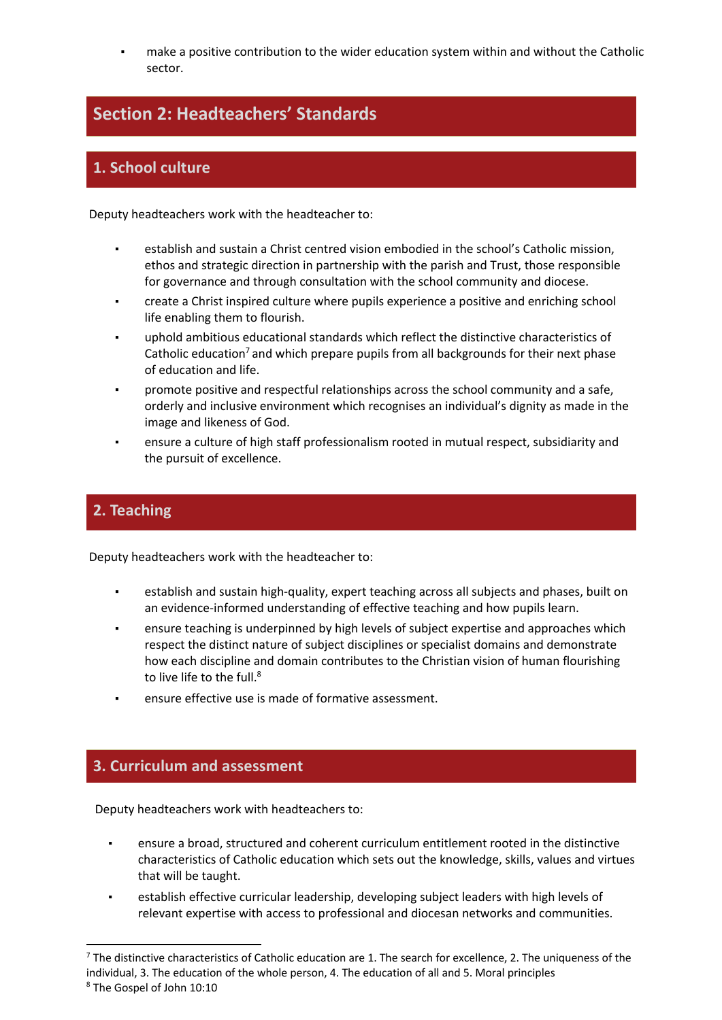make a positive contribution to the wider education system within and without the Catholic sector.

# **Section 2: Headteachers' Standards**

# **1. School culture**

Deputy headteachers work with the headteacher to:

- establish and sustain a Christ centred vision embodied in the school's Catholic mission, ethos and strategic direction in partnership with the parish and Trust, those responsible for governance and through consultation with the school community and diocese.
- create a Christ inspired culture where pupils experience a positive and enriching school life enabling them to flourish.
- uphold ambitious educational standards which reflect the distinctive characteristics of Catholic education<sup>7</sup> and which prepare pupils from all backgrounds for their next phase of education and life.
- promote positive and respectful relationships across the school community and a safe, orderly and inclusive environment which recognises an individual's dignity as made in the image and likeness of God.
- ensure a culture of high staff professionalism rooted in mutual respect, subsidiarity and the pursuit of excellence.

# **2. Teaching**

Deputy headteachers work with the headteacher to:

- establish and sustain high-quality, expert teaching across all subjects and phases, built on an evidence-informed understanding of effective teaching and how pupils learn.
- ensure teaching is underpinned by high levels of subject expertise and approaches which respect the distinct nature of subject disciplines or specialist domains and demonstrate how each discipline and domain contributes to the Christian vision of human flourishing to live life to the full.<sup>8</sup>
- ensure effective use is made of formative assessment.

## **3. Curriculum and assessment**

Deputy headteachers work with headteachers to:

- ensure a broad, structured and coherent curriculum entitlement rooted in the distinctive characteristics of Catholic education which sets out the knowledge, skills, values and virtues that will be taught.
- establish effective curricular leadership, developing subject leaders with high levels of relevant expertise with access to professional and diocesan networks and communities.

 $7$  The distinctive characteristics of Catholic education are 1. The search for excellence, 2. The uniqueness of the individual, 3. The education of the whole person, 4. The education of all and 5. Moral principles <sup>8</sup> The Gospel of John 10:10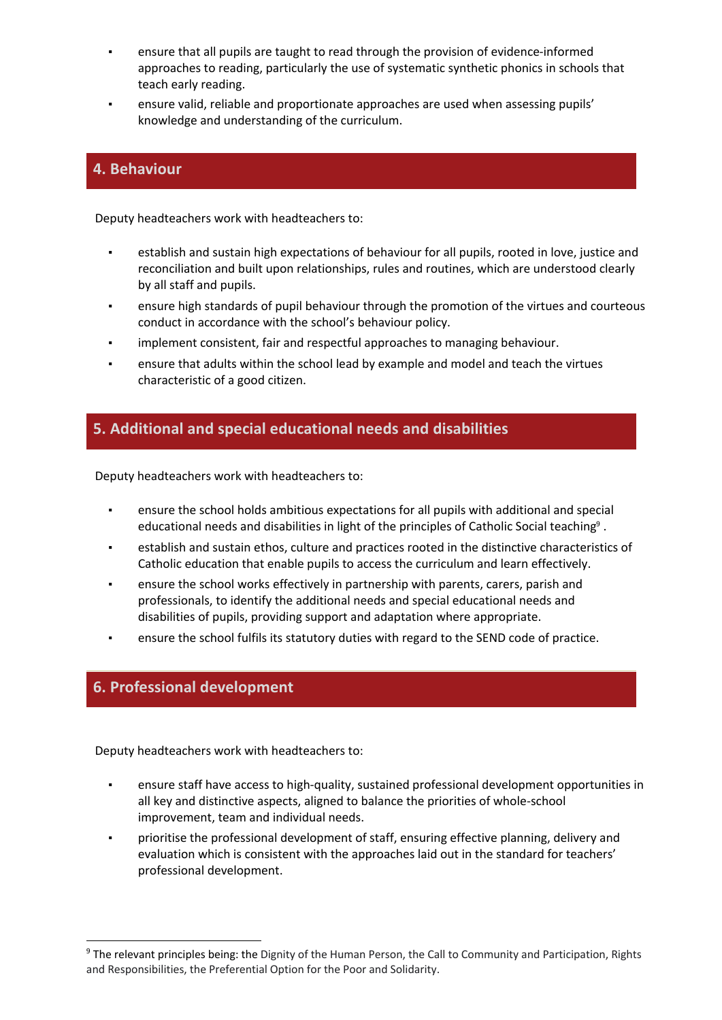- ensure that all pupils are taught to read through the provision of evidence-informed approaches to reading, particularly the use of systematic synthetic phonics in schools that teach early reading.
- ensure valid, reliable and proportionate approaches are used when assessing pupils' knowledge and understanding of the curriculum.

#### **4. Behaviour**

Deputy headteachers work with headteachers to:

- establish and sustain high expectations of behaviour for all pupils, rooted in love, justice and reconciliation and built upon relationships, rules and routines, which are understood clearly by all staff and pupils.
- **•** ensure high standards of pupil behaviour through the promotion of the virtues and courteous conduct in accordance with the school's behaviour policy.
- implement consistent, fair and respectful approaches to managing behaviour.
- ensure that adults within the school lead by example and model and teach the virtues characteristic of a good citizen.

#### **5. Additional and special educational needs and disabilities**

Deputy headteachers work with headteachers to:

- ensure the school holds ambitious expectations for all pupils with additional and special educational needs and disabilities in light of the principles of Catholic Social teaching9 .
- establish and sustain ethos, culture and practices rooted in the distinctive characteristics of Catholic education that enable pupils to access the curriculum and learn effectively.
- ensure the school works effectively in partnership with parents, carers, parish and professionals, to identify the additional needs and special educational needs and disabilities of pupils, providing support and adaptation where appropriate.
- ensure the school fulfils its statutory duties with regard to the SEND code of practice.

#### **6. Professional development**

Deputy headteachers work with headteachers to:

- ensure staff have access to high-quality, sustained professional development opportunities in all key and distinctive aspects, aligned to balance the priorities of whole-school improvement, team and individual needs.
- prioritise the professional development of staff, ensuring effective planning, delivery and evaluation which is consistent with the approaches laid out in the standard for teachers' professional development.

<sup>9</sup> The relevant principles being: the Dignity of the Human Person, the Call to Community and Participation, Rights and Responsibilities, the Preferential Option for the Poor and Solidarity.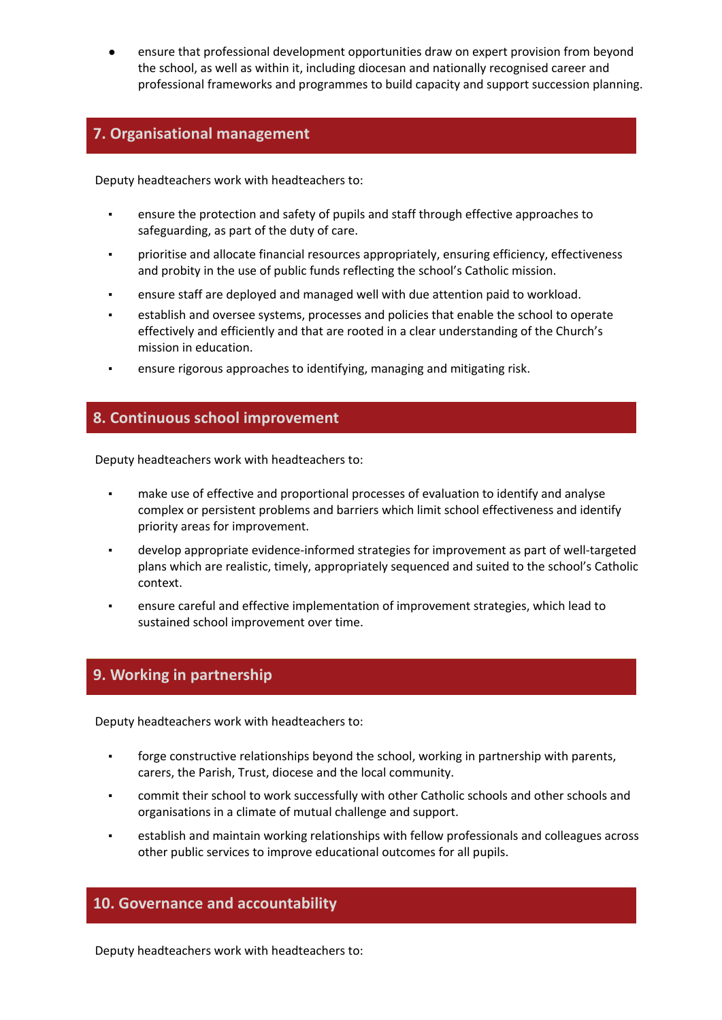ensure that professional development opportunities draw on expert provision from beyond the school, as well as within it, including diocesan and nationally recognised career and professional frameworks and programmes to build capacity and support succession planning.

## **7. Organisational management**

Deputy headteachers work with headteachers to:

- ensure the protection and safety of pupils and staff through effective approaches to safeguarding, as part of the duty of care.
- prioritise and allocate financial resources appropriately, ensuring efficiency, effectiveness and probity in the use of public funds reflecting the school's Catholic mission.
- ensure staff are deployed and managed well with due attention paid to workload.
- establish and oversee systems, processes and policies that enable the school to operate effectively and efficiently and that are rooted in a clear understanding of the Church's mission in education.
- ensure rigorous approaches to identifying, managing and mitigating risk.

## **8. Continuous school improvement**

Deputy headteachers work with headteachers to:

- make use of effective and proportional processes of evaluation to identify and analyse complex or persistent problems and barriers which limit school effectiveness and identify priority areas for improvement.
- develop appropriate evidence-informed strategies for improvement as part of well-targeted plans which are realistic, timely, appropriately sequenced and suited to the school's Catholic context.
- ensure careful and effective implementation of improvement strategies, which lead to sustained school improvement over time.

## **9. Working in partnership**

Deputy headteachers work with headteachers to:

- forge constructive relationships beyond the school, working in partnership with parents, carers, the Parish, Trust, diocese and the local community.
- commit their school to work successfully with other Catholic schools and other schools and organisations in a climate of mutual challenge and support.
- establish and maintain working relationships with fellow professionals and colleagues across other public services to improve educational outcomes for all pupils.

## **10. Governance and accountability**

Deputy headteachers work with headteachers to: